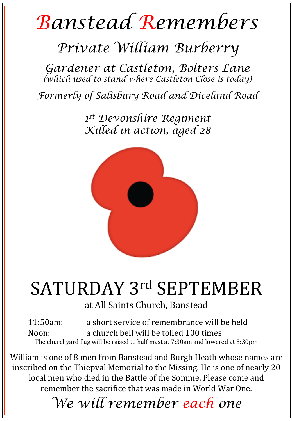## *Banstead Remembers*

## *Private William Burberry*

*Gardener at Castleton, Bolters Lane (which used to stand where Castleton Close is today)* 

*Formerly of Salisbury Road and Diceland Road* 

*1st Devonshire Regiment Killed in action, aged 28* 



## SATURDAY 3rd SEPTEMBER

at All Saints Church, Banstead

11:50am: a short service of remembrance will be held Noon: a church bell will be tolled 100 times The churchyard flag will be raised to half mast at 7:30am and lowered at 5:30pm

William is one of 8 men from Banstead and Burgh Heath whose names are inscribed on the Thiepval Memorial to the Missing. He is one of nearly 20 local men who died in the Battle of the Somme. Please come and remember the sacrifice that was made in World War One.

*We will remember each one*